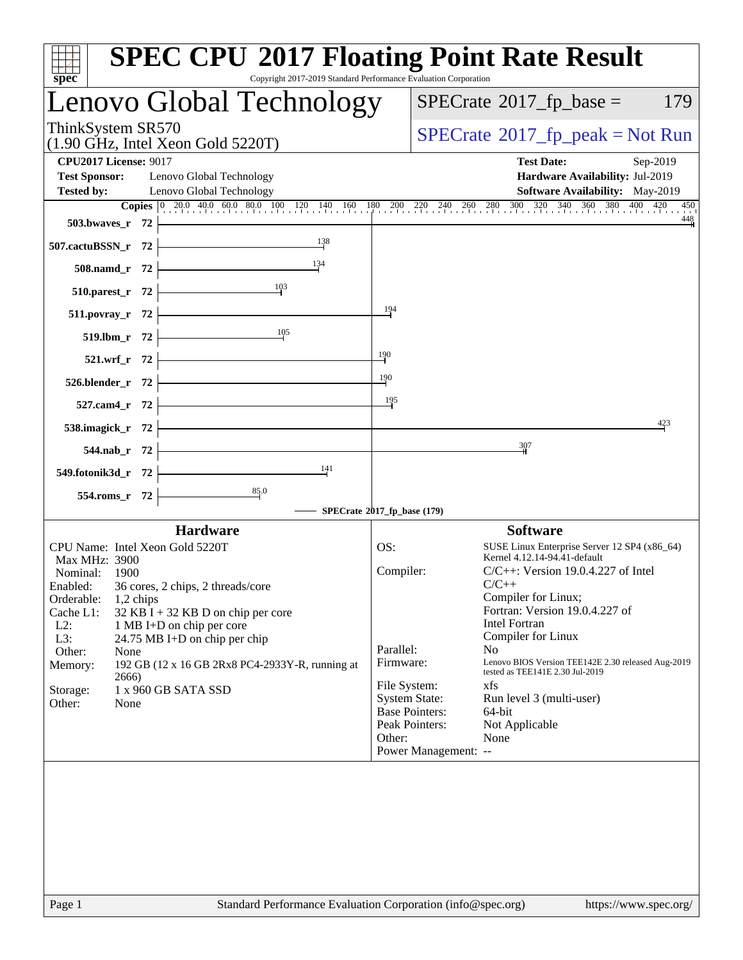| spec <sup>®</sup>                                                                                                                 | <b>SPEC CPU®2017 Floating Point Rate Result</b><br>Copyright 2017-2019 Standard Performance Evaluation Corporation                                                                             |
|-----------------------------------------------------------------------------------------------------------------------------------|------------------------------------------------------------------------------------------------------------------------------------------------------------------------------------------------|
| Lenovo Global Technology                                                                                                          | $SPECTate$ <sup>®</sup> 2017_fp_base =<br>179                                                                                                                                                  |
| ThinkSystem SR570<br>(1.90 GHz, Intel Xeon Gold 5220T)                                                                            | $SPECrate^{\circ}2017rfp peak = Not Run$                                                                                                                                                       |
| <b>CPU2017 License: 9017</b><br><b>Test Sponsor:</b><br>Lenovo Global Technology<br><b>Tested by:</b><br>Lenovo Global Technology | <b>Test Date:</b><br>Sep-2019<br>Hardware Availability: Jul-2019<br><b>Software Availability:</b> May-2019                                                                                     |
|                                                                                                                                   | <b>Copies</b> $\begin{bmatrix} 0 & 20.0 & 40.0 & 60.0 & 80.0 & 100 & 120 & 140 & 160 & 180 & 200 & 220 & 240 & 260 & 280 & 300 & 320 & 340 & 360 & 380 & 400 & 420 & 450 \end{bmatrix}$<br>450 |
| 503.bwayes r 72                                                                                                                   | 448                                                                                                                                                                                            |
| 138<br>507.cactuBSSN_r 72                                                                                                         |                                                                                                                                                                                                |
| 134<br>508.namd_r 72                                                                                                              |                                                                                                                                                                                                |
| 103<br>510.parest_r 72                                                                                                            |                                                                                                                                                                                                |
| 511.povray_r 72                                                                                                                   | 194                                                                                                                                                                                            |
| $\frac{105}{1}$<br>519.lbm_r 72                                                                                                   |                                                                                                                                                                                                |
| 521.wrf_r 72                                                                                                                      | $\frac{190}{4}$                                                                                                                                                                                |
| 526.blender_r 72                                                                                                                  | $\frac{190}{2}$                                                                                                                                                                                |
| 527.cam4_r 72                                                                                                                     | 195                                                                                                                                                                                            |
| 538.imagick_r 72                                                                                                                  | 423                                                                                                                                                                                            |
| 544.nab r 72                                                                                                                      | 307                                                                                                                                                                                            |
| 141<br>549.fotonik3d_r 72                                                                                                         |                                                                                                                                                                                                |
| 85.0<br>554.roms_r 72                                                                                                             |                                                                                                                                                                                                |
|                                                                                                                                   | SPECrate®2017_fp_base (179)                                                                                                                                                                    |
| <b>Hardware</b>                                                                                                                   | <b>Software</b>                                                                                                                                                                                |
| CPU Name: Intel Xeon Gold 5220T                                                                                                   | OS:<br>SUSE Linux Enterprise Server 12 SP4 (x86_64)<br>Kernel 4.12.14-94.41-default                                                                                                            |
| Max MHz: 3900<br>Nominal:<br>1900                                                                                                 | Compiler:<br>$C/C++$ : Version 19.0.4.227 of Intel                                                                                                                                             |
| 36 cores, 2 chips, 2 threads/core<br>Enabled:                                                                                     | $C/C++$                                                                                                                                                                                        |
| Orderable:<br>$1,2$ chips<br>Cache L1:<br>$32$ KB I + 32 KB D on chip per core                                                    | Compiler for Linux;<br>Fortran: Version 19.0.4.227 of                                                                                                                                          |
| $L2$ :<br>1 MB I+D on chip per core                                                                                               | <b>Intel Fortran</b>                                                                                                                                                                           |
| L3:<br>24.75 MB I+D on chip per chip                                                                                              | Compiler for Linux                                                                                                                                                                             |
| Other:<br>None<br>Memory:<br>192 GB (12 x 16 GB 2Rx8 PC4-2933Y-R, running at                                                      | Parallel:<br>N <sub>o</sub><br>Lenovo BIOS Version TEE142E 2.30 released Aug-2019<br>Firmware:                                                                                                 |
| 2666)                                                                                                                             | tested as TEE141E 2.30 Jul-2019                                                                                                                                                                |
| 1 x 960 GB SATA SSD<br>Storage:                                                                                                   | File System:<br>xfs<br><b>System State:</b><br>Run level 3 (multi-user)                                                                                                                        |
| Other:<br>None                                                                                                                    | <b>Base Pointers:</b><br>64-bit                                                                                                                                                                |
|                                                                                                                                   | Peak Pointers:<br>Not Applicable                                                                                                                                                               |
|                                                                                                                                   | Other:<br>None<br>Power Management: --                                                                                                                                                         |
|                                                                                                                                   |                                                                                                                                                                                                |
|                                                                                                                                   |                                                                                                                                                                                                |
| Page 1                                                                                                                            | Standard Performance Evaluation Corporation (info@spec.org)<br>https://www.spec.org/                                                                                                           |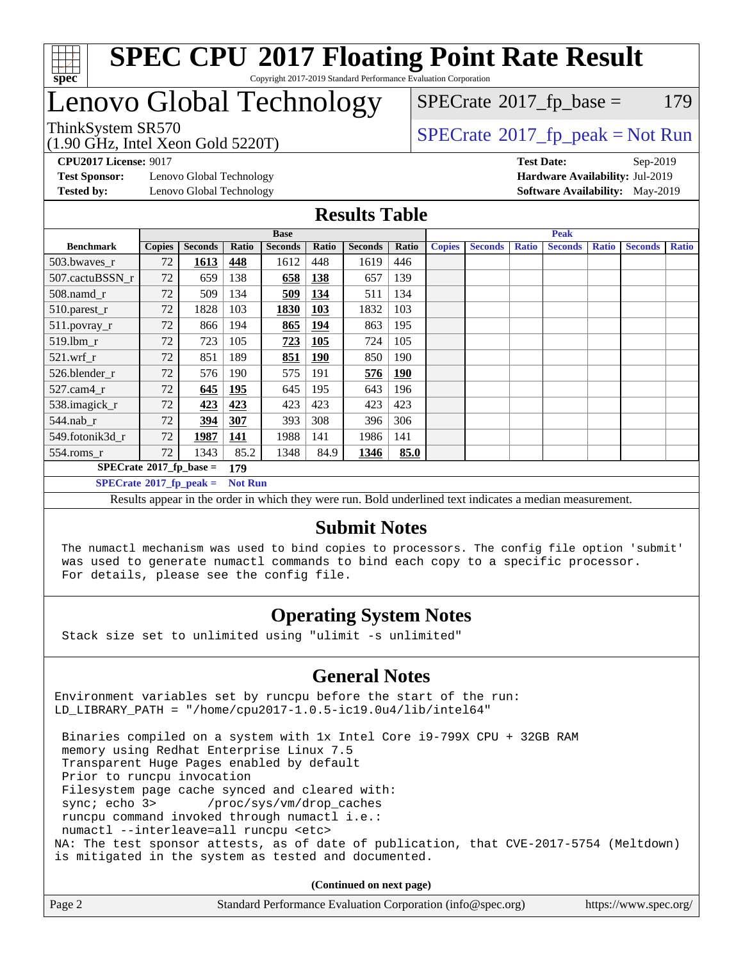

## Lenovo Global Technology

 $SPECTate@2017_fp\_base = 179$ 

(1.90 GHz, Intel Xeon Gold 5220T)

ThinkSystem SR570<br>(1.00 GHz, Intel Year Gold 5220T) [SPECrate](http://www.spec.org/auto/cpu2017/Docs/result-fields.html#SPECrate2017fppeak)®[2017\\_fp\\_peak = N](http://www.spec.org/auto/cpu2017/Docs/result-fields.html#SPECrate2017fppeak)ot Run

**[Test Sponsor:](http://www.spec.org/auto/cpu2017/Docs/result-fields.html#TestSponsor)** Lenovo Global Technology **[Hardware Availability:](http://www.spec.org/auto/cpu2017/Docs/result-fields.html#HardwareAvailability)** Jul-2019 **[Tested by:](http://www.spec.org/auto/cpu2017/Docs/result-fields.html#Testedby)** Lenovo Global Technology **[Software Availability:](http://www.spec.org/auto/cpu2017/Docs/result-fields.html#SoftwareAvailability)** May-2019

**[CPU2017 License:](http://www.spec.org/auto/cpu2017/Docs/result-fields.html#CPU2017License)** 9017 **[Test Date:](http://www.spec.org/auto/cpu2017/Docs/result-fields.html#TestDate)** Sep-2019

#### **[Results Table](http://www.spec.org/auto/cpu2017/Docs/result-fields.html#ResultsTable)**

|                                        | <b>Base</b>   |                |                |                | <b>Peak</b> |                |            |               |                |              |                |              |                |              |
|----------------------------------------|---------------|----------------|----------------|----------------|-------------|----------------|------------|---------------|----------------|--------------|----------------|--------------|----------------|--------------|
| <b>Benchmark</b>                       | <b>Copies</b> | <b>Seconds</b> | Ratio          | <b>Seconds</b> | Ratio       | <b>Seconds</b> | Ratio      | <b>Copies</b> | <b>Seconds</b> | <b>Ratio</b> | <b>Seconds</b> | <b>Ratio</b> | <b>Seconds</b> | <b>Ratio</b> |
| 503.bwayes_r                           | 72            | 1613           | <u>448</u>     | 1612           | 448         | 1619           | 446        |               |                |              |                |              |                |              |
| 507.cactuBSSN r                        | 72            | 659            | 138            | 658            | 138         | 657            | 139        |               |                |              |                |              |                |              |
| $508$ .namd $r$                        | 72            | 509            | 134            | 509            | 134         | 511            | 134        |               |                |              |                |              |                |              |
| 510.parest_r                           | 72            | 1828           | 103            | 1830           | <b>103</b>  | 1832           | 103        |               |                |              |                |              |                |              |
| 511.povray_r                           | 72            | 866            | 194            | 865            | <u>194</u>  | 863            | 195        |               |                |              |                |              |                |              |
| 519.lbm r                              | 72            | 723            | 105            | 723            | <b>105</b>  | 724            | 105        |               |                |              |                |              |                |              |
| $521.wrf$ r                            | 72            | 851            | 189            | 851            | <b>190</b>  | 850            | 190        |               |                |              |                |              |                |              |
| 526.blender r                          | 72            | 576            | 190            | 575            | 191         | <u>576</u>     | <u>190</u> |               |                |              |                |              |                |              |
| $527$ .cam $4r$                        | 72            | 645            | <u>195</u>     | 645            | 195         | 643            | 196        |               |                |              |                |              |                |              |
| 538.imagick_r                          | 72            | 423            | 423            | 423            | 423         | 423            | 423        |               |                |              |                |              |                |              |
| $544$ .nab r                           | 72            | 394            | 307            | 393            | 308         | 396            | 306        |               |                |              |                |              |                |              |
| 549.fotonik3d r                        | 72            | 1987           | 141            | 1988           | 141         | 1986           | 141        |               |                |              |                |              |                |              |
| $554$ .roms_r                          | 72            | 1343           | 85.2           | 1348           | 84.9        | 1346           | 85.0       |               |                |              |                |              |                |              |
| $SPECrate$ <sup>®</sup> 2017_fp_base = |               |                | 179            |                |             |                |            |               |                |              |                |              |                |              |
| $SPECrate^{\circ}2017$ fp peak =       |               |                | <b>Not Run</b> |                |             |                |            |               |                |              |                |              |                |              |

Results appear in the [order in which they were run.](http://www.spec.org/auto/cpu2017/Docs/result-fields.html#RunOrder) Bold underlined text [indicates a median measurement.](http://www.spec.org/auto/cpu2017/Docs/result-fields.html#Median)

#### **[Submit Notes](http://www.spec.org/auto/cpu2017/Docs/result-fields.html#SubmitNotes)**

 The numactl mechanism was used to bind copies to processors. The config file option 'submit' was used to generate numactl commands to bind each copy to a specific processor. For details, please see the config file.

### **[Operating System Notes](http://www.spec.org/auto/cpu2017/Docs/result-fields.html#OperatingSystemNotes)**

Stack size set to unlimited using "ulimit -s unlimited"

### **[General Notes](http://www.spec.org/auto/cpu2017/Docs/result-fields.html#GeneralNotes)**

Environment variables set by runcpu before the start of the run: LD\_LIBRARY\_PATH = "/home/cpu2017-1.0.5-ic19.0u4/lib/intel64"

 Binaries compiled on a system with 1x Intel Core i9-799X CPU + 32GB RAM memory using Redhat Enterprise Linux 7.5 Transparent Huge Pages enabled by default Prior to runcpu invocation Filesystem page cache synced and cleared with: sync; echo 3> /proc/sys/vm/drop\_caches runcpu command invoked through numactl i.e.: numactl --interleave=all runcpu <etc> NA: The test sponsor attests, as of date of publication, that CVE-2017-5754 (Meltdown) is mitigated in the system as tested and documented.

**(Continued on next page)**

| Page 2 | Standard Performance Evaluation Corporation (info@spec.org) | https://www.spec.org/ |
|--------|-------------------------------------------------------------|-----------------------|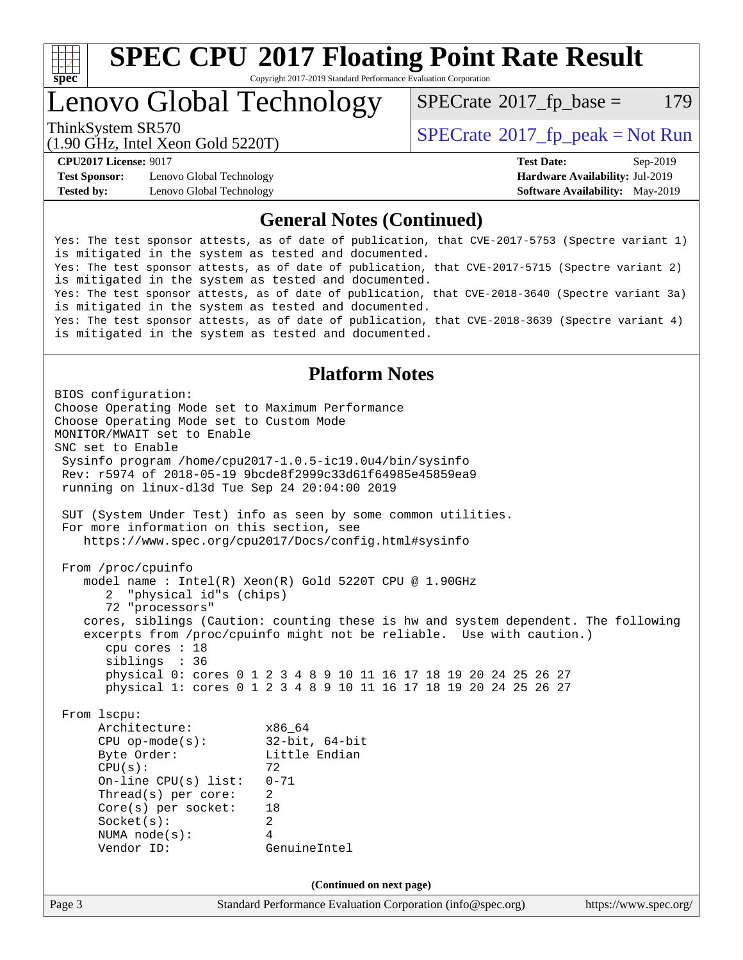

# **[SPEC CPU](http://www.spec.org/auto/cpu2017/Docs/result-fields.html#SPECCPU2017FloatingPointRateResult)[2017 Floating Point Rate Result](http://www.spec.org/auto/cpu2017/Docs/result-fields.html#SPECCPU2017FloatingPointRateResult)**

Copyright 2017-2019 Standard Performance Evaluation Corporation

### Lenovo Global Technology

 $SPECTate@2017_fp\_base = 179$ 

(1.90 GHz, Intel Xeon Gold 5220T)

ThinkSystem SR570<br>(1.00 CHz, Intel Year Gald 5220T)  $SPECTR = \text{SECrate} \cdot 2017$  fp\_peak = Not Run

**[Test Sponsor:](http://www.spec.org/auto/cpu2017/Docs/result-fields.html#TestSponsor)** Lenovo Global Technology **[Hardware Availability:](http://www.spec.org/auto/cpu2017/Docs/result-fields.html#HardwareAvailability)** Jul-2019 **[Tested by:](http://www.spec.org/auto/cpu2017/Docs/result-fields.html#Testedby)** Lenovo Global Technology **[Software Availability:](http://www.spec.org/auto/cpu2017/Docs/result-fields.html#SoftwareAvailability)** May-2019

**[CPU2017 License:](http://www.spec.org/auto/cpu2017/Docs/result-fields.html#CPU2017License)** 9017 **[Test Date:](http://www.spec.org/auto/cpu2017/Docs/result-fields.html#TestDate)** Sep-2019

#### **[General Notes \(Continued\)](http://www.spec.org/auto/cpu2017/Docs/result-fields.html#GeneralNotes)**

Yes: The test sponsor attests, as of date of publication, that CVE-2017-5753 (Spectre variant 1) is mitigated in the system as tested and documented. Yes: The test sponsor attests, as of date of publication, that CVE-2017-5715 (Spectre variant 2) is mitigated in the system as tested and documented. Yes: The test sponsor attests, as of date of publication, that CVE-2018-3640 (Spectre variant 3a) is mitigated in the system as tested and documented. Yes: The test sponsor attests, as of date of publication, that CVE-2018-3639 (Spectre variant 4) is mitigated in the system as tested and documented.

### **[Platform Notes](http://www.spec.org/auto/cpu2017/Docs/result-fields.html#PlatformNotes)**

Page 3 Standard Performance Evaluation Corporation [\(info@spec.org\)](mailto:info@spec.org) <https://www.spec.org/> BIOS configuration: Choose Operating Mode set to Maximum Performance Choose Operating Mode set to Custom Mode MONITOR/MWAIT set to Enable SNC set to Enable Sysinfo program /home/cpu2017-1.0.5-ic19.0u4/bin/sysinfo Rev: r5974 of 2018-05-19 9bcde8f2999c33d61f64985e45859ea9 running on linux-dl3d Tue Sep 24 20:04:00 2019 SUT (System Under Test) info as seen by some common utilities. For more information on this section, see <https://www.spec.org/cpu2017/Docs/config.html#sysinfo> From /proc/cpuinfo model name : Intel(R) Xeon(R) Gold 5220T CPU @ 1.90GHz 2 "physical id"s (chips) 72 "processors" cores, siblings (Caution: counting these is hw and system dependent. The following excerpts from /proc/cpuinfo might not be reliable. Use with caution.) cpu cores : 18 siblings : 36 physical 0: cores 0 1 2 3 4 8 9 10 11 16 17 18 19 20 24 25 26 27 physical 1: cores 0 1 2 3 4 8 9 10 11 16 17 18 19 20 24 25 26 27 From lscpu: Architecture: x86\_64 CPU op-mode(s): 32-bit, 64-bit Byte Order: Little Endian  $CPU(s):$  72 On-line CPU(s) list: 0-71 Thread(s) per core: 2 Core(s) per socket: 18 Socket(s): 2 NUMA node(s): 4 Vendor ID: GenuineIntel **(Continued on next page)**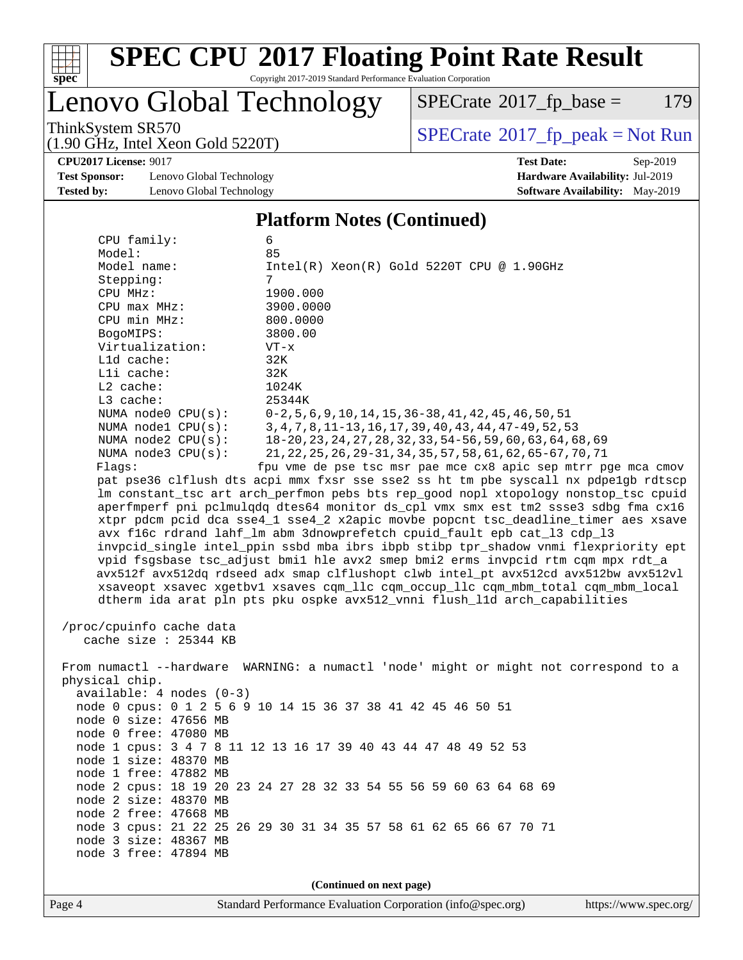

# **[SPEC CPU](http://www.spec.org/auto/cpu2017/Docs/result-fields.html#SPECCPU2017FloatingPointRateResult)[2017 Floating Point Rate Result](http://www.spec.org/auto/cpu2017/Docs/result-fields.html#SPECCPU2017FloatingPointRateResult)**

Copyright 2017-2019 Standard Performance Evaluation Corporation

Lenovo Global Technology

 $SPECTate@2017_fp\_base = 179$ 

(1.90 GHz, Intel Xeon Gold 5220T)

ThinkSystem SR570<br>(1.90 GHz, Intel Xeon Gold 5220T) [SPECrate](http://www.spec.org/auto/cpu2017/Docs/result-fields.html#SPECrate2017fppeak)®[2017\\_fp\\_peak = N](http://www.spec.org/auto/cpu2017/Docs/result-fields.html#SPECrate2017fppeak)ot Run

**[CPU2017 License:](http://www.spec.org/auto/cpu2017/Docs/result-fields.html#CPU2017License)** 9017 **[Test Date:](http://www.spec.org/auto/cpu2017/Docs/result-fields.html#TestDate)** Sep-2019

**[Test Sponsor:](http://www.spec.org/auto/cpu2017/Docs/result-fields.html#TestSponsor)** Lenovo Global Technology **[Hardware Availability:](http://www.spec.org/auto/cpu2017/Docs/result-fields.html#HardwareAvailability)** Jul-2019 **[Tested by:](http://www.spec.org/auto/cpu2017/Docs/result-fields.html#Testedby)** Lenovo Global Technology **[Software Availability:](http://www.spec.org/auto/cpu2017/Docs/result-fields.html#SoftwareAvailability)** May-2019

#### **[Platform Notes \(Continued\)](http://www.spec.org/auto/cpu2017/Docs/result-fields.html#PlatformNotes)**

 CPU family: 6 Model: 85 Model name:  $Intel(R)$  Xeon(R) Gold 5220T CPU @ 1.90GHz Stepping: 7 CPU MHz: 1900.000 CPU max MHz: 3900.0000 CPU min MHz: 800.0000 BogoMIPS: 3800.00 Virtualization: VT-x L1d cache: 32K L1i cache: 32K L2 cache: 1024K L3 cache: 25344K NUMA node0 CPU(s): 0-2,5,6,9,10,14,15,36-38,41,42,45,46,50,51 NUMA node1 CPU(s): 3,4,7,8,11-13,16,17,39,40,43,44,47-49,52,53 NUMA node2 CPU(s): 18-20,23,24,27,28,32,33,54-56,59,60,63,64,68,69 NUMA node3 CPU(s): 21,22,25,26,29-31,34,35,57,58,61,62,65-67,70,71 Flags: fpu vme de pse tsc msr pae mce cx8 apic sep mtrr pge mca cmov pat pse36 clflush dts acpi mmx fxsr sse sse2 ss ht tm pbe syscall nx pdpe1gb rdtscp lm constant\_tsc art arch\_perfmon pebs bts rep\_good nopl xtopology nonstop\_tsc cpuid aperfmperf pni pclmulqdq dtes64 monitor ds\_cpl vmx smx est tm2 ssse3 sdbg fma cx16 xtpr pdcm pcid dca sse4\_1 sse4\_2 x2apic movbe popcnt tsc\_deadline\_timer aes xsave avx f16c rdrand lahf\_lm abm 3dnowprefetch cpuid\_fault epb cat\_l3 cdp\_l3 invpcid\_single intel\_ppin ssbd mba ibrs ibpb stibp tpr\_shadow vnmi flexpriority ept vpid fsgsbase tsc\_adjust bmi1 hle avx2 smep bmi2 erms invpcid rtm cqm mpx rdt\_a avx512f avx512dq rdseed adx smap clflushopt clwb intel\_pt avx512cd avx512bw avx512vl xsaveopt xsavec xgetbv1 xsaves cqm\_llc cqm\_occup\_llc cqm\_mbm\_total cqm\_mbm\_local dtherm ida arat pln pts pku ospke avx512\_vnni flush\_l1d arch\_capabilities /proc/cpuinfo cache data

cache size : 25344 KB

 From numactl --hardware WARNING: a numactl 'node' might or might not correspond to a physical chip. available: 4 nodes (0-3) node 0 cpus: 0 1 2 5 6 9 10 14 15 36 37 38 41 42 45 46 50 51 node 0 size: 47656 MB node 0 free: 47080 MB node 1 cpus: 3 4 7 8 11 12 13 16 17 39 40 43 44 47 48 49 52 53 node 1 size: 48370 MB node 1 free: 47882 MB node 2 cpus: 18 19 20 23 24 27 28 32 33 54 55 56 59 60 63 64 68 69 node 2 size: 48370 MB node 2 free: 47668 MB node 3 cpus: 21 22 25 26 29 30 31 34 35 57 58 61 62 65 66 67 70 71 node 3 size: 48367 MB node 3 free: 47894 MB

**(Continued on next page)**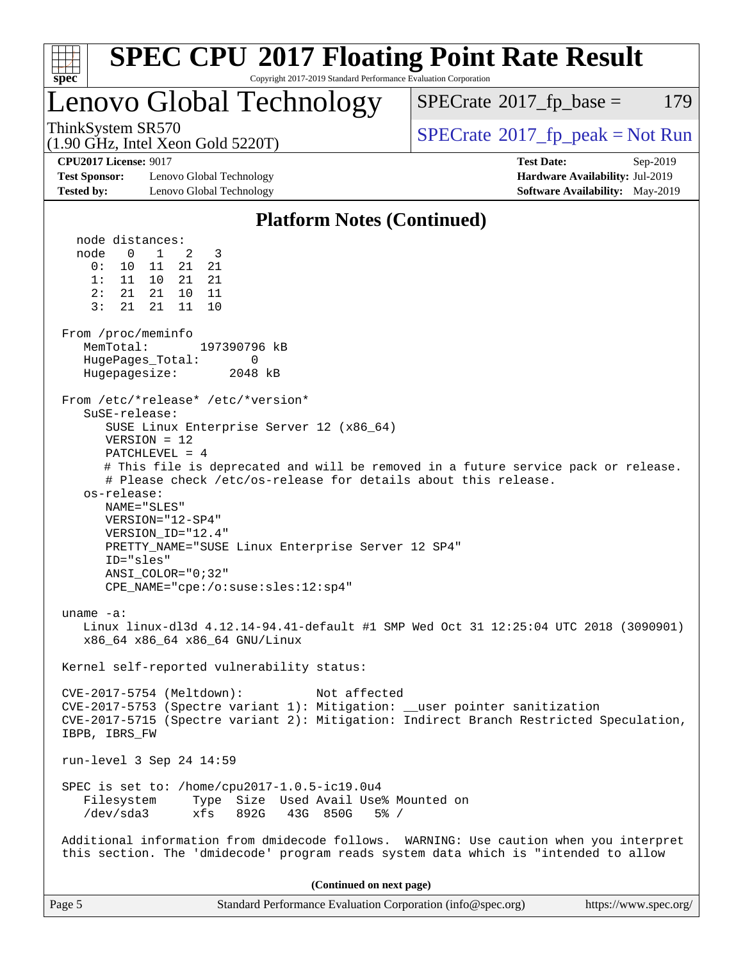| <b>SPEC CPU®2017 Floating Point Rate Result</b>                                                                                                                                                                                                                                                                                                                                                                                                                                                                                                                                                                                                                                                                                                                                                  |                                                                                                     |
|--------------------------------------------------------------------------------------------------------------------------------------------------------------------------------------------------------------------------------------------------------------------------------------------------------------------------------------------------------------------------------------------------------------------------------------------------------------------------------------------------------------------------------------------------------------------------------------------------------------------------------------------------------------------------------------------------------------------------------------------------------------------------------------------------|-----------------------------------------------------------------------------------------------------|
| Copyright 2017-2019 Standard Performance Evaluation Corporation<br>$spec^*$                                                                                                                                                                                                                                                                                                                                                                                                                                                                                                                                                                                                                                                                                                                      |                                                                                                     |
| Lenovo Global Technology                                                                                                                                                                                                                                                                                                                                                                                                                                                                                                                                                                                                                                                                                                                                                                         | 179<br>$SPECrate^{\circ}2017$ _fp_base =                                                            |
| ThinkSystem SR570<br>$(1.90 \text{ GHz}, \text{Intel Xeon Gold } 5220 \text{T})$                                                                                                                                                                                                                                                                                                                                                                                                                                                                                                                                                                                                                                                                                                                 | $SPECrate^{\circ}2017rfp peak = Not Run$                                                            |
| <b>CPU2017 License: 9017</b><br><b>Test Sponsor:</b><br>Lenovo Global Technology<br><b>Tested by:</b><br>Lenovo Global Technology                                                                                                                                                                                                                                                                                                                                                                                                                                                                                                                                                                                                                                                                | <b>Test Date:</b><br>Sep-2019<br>Hardware Availability: Jul-2019<br>Software Availability: May-2019 |
| <b>Platform Notes (Continued)</b>                                                                                                                                                                                                                                                                                                                                                                                                                                                                                                                                                                                                                                                                                                                                                                |                                                                                                     |
| node distances:<br>$\mathbf{1}$<br>node<br>0<br>2<br>3<br>0 :<br>11<br>21<br>21<br>10<br>1: 11 10<br>21 21<br>2:<br>21<br>21<br>10<br>11<br>3:<br>21<br>21<br>10<br>11<br>From /proc/meminfo<br>MemTotal:<br>197390796 kB<br>HugePages_Total:<br>0<br>Hugepagesize:<br>2048 kB<br>From /etc/*release* /etc/*version*<br>SuSE-release:<br>SUSE Linux Enterprise Server 12 (x86_64)<br>$VERSION = 12$<br>$PATCHLEVEL = 4$<br># This file is deprecated and will be removed in a future service pack or release.<br># Please check /etc/os-release for details about this release.<br>os-release:<br>NAME="SLES"<br>VERSION="12-SP4"<br>VERSION_ID="12.4"<br>PRETTY_NAME="SUSE Linux Enterprise Server 12 SP4"<br>ID="sles"<br>$ANSI\_COLOR = "0; 32"$<br>$CPE\_NAME = "cpe://o:suse: sles:12:sp4"$ |                                                                                                     |
| uname $-a$ :<br>Linux linux-dl3d 4.12.14-94.41-default #1 SMP Wed Oct 31 12:25:04 UTC 2018 (3090901)<br>x86_64 x86_64 x86_64 GNU/Linux                                                                                                                                                                                                                                                                                                                                                                                                                                                                                                                                                                                                                                                           |                                                                                                     |
| Kernel self-reported vulnerability status:                                                                                                                                                                                                                                                                                                                                                                                                                                                                                                                                                                                                                                                                                                                                                       |                                                                                                     |
| CVE-2017-5754 (Meltdown):<br>Not affected<br>CVE-2017-5753 (Spectre variant 1): Mitigation: __user pointer sanitization<br>CVE-2017-5715 (Spectre variant 2): Mitigation: Indirect Branch Restricted Speculation,<br>IBPB, IBRS_FW                                                                                                                                                                                                                                                                                                                                                                                                                                                                                                                                                               |                                                                                                     |
| run-level 3 Sep 24 14:59                                                                                                                                                                                                                                                                                                                                                                                                                                                                                                                                                                                                                                                                                                                                                                         |                                                                                                     |
| SPEC is set to: /home/cpu2017-1.0.5-ic19.0u4<br>Type Size Used Avail Use% Mounted on<br>Filesystem<br>/dev/sda3<br>xfs 892G 43G 850G<br>$5\%$ /                                                                                                                                                                                                                                                                                                                                                                                                                                                                                                                                                                                                                                                  |                                                                                                     |
| Additional information from dmidecode follows. WARNING: Use caution when you interpret<br>this section. The 'dmidecode' program reads system data which is "intended to allow                                                                                                                                                                                                                                                                                                                                                                                                                                                                                                                                                                                                                    |                                                                                                     |
| (Continued on next page)                                                                                                                                                                                                                                                                                                                                                                                                                                                                                                                                                                                                                                                                                                                                                                         |                                                                                                     |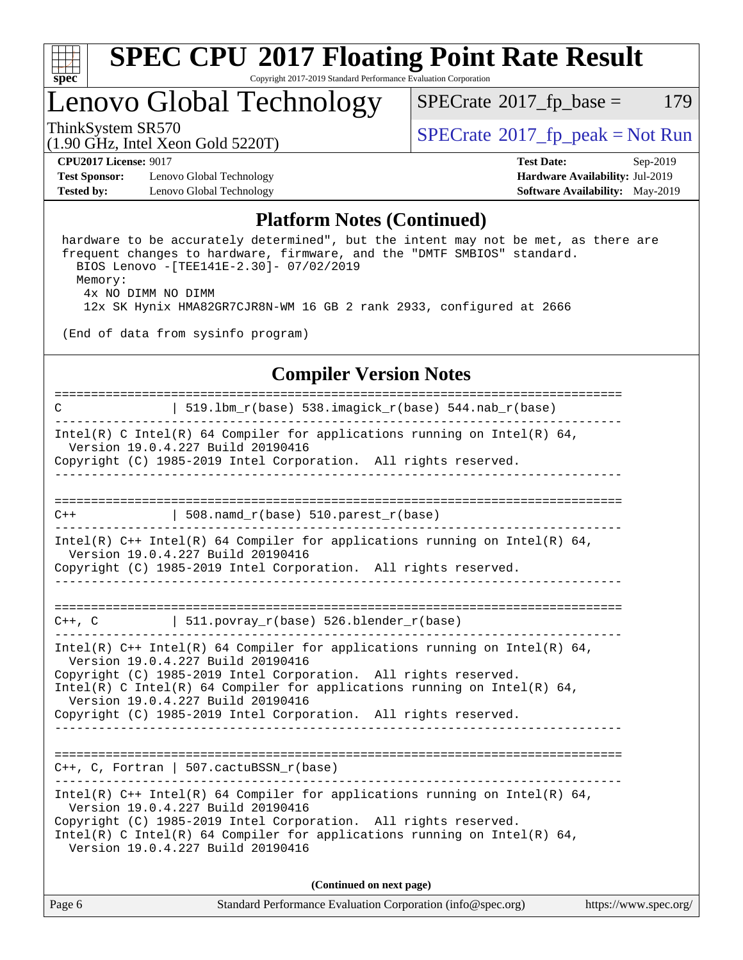

## Lenovo Global Technology

 $SPECTate@2017_fp\_base = 179$ 

(1.90 GHz, Intel Xeon Gold 5220T)

ThinkSystem SR570<br>(1.00 CHz, Intel Year Cald 5220T)  $SPECTR = \text{SECrate}^{\circ}2017$  fp\_peak = Not Run

**[CPU2017 License:](http://www.spec.org/auto/cpu2017/Docs/result-fields.html#CPU2017License)** 9017 **[Test Date:](http://www.spec.org/auto/cpu2017/Docs/result-fields.html#TestDate)** Sep-2019

**[Test Sponsor:](http://www.spec.org/auto/cpu2017/Docs/result-fields.html#TestSponsor)** Lenovo Global Technology **[Hardware Availability:](http://www.spec.org/auto/cpu2017/Docs/result-fields.html#HardwareAvailability)** Jul-2019 **[Tested by:](http://www.spec.org/auto/cpu2017/Docs/result-fields.html#Testedby)** Lenovo Global Technology **[Software Availability:](http://www.spec.org/auto/cpu2017/Docs/result-fields.html#SoftwareAvailability)** May-2019

### **[Platform Notes \(Continued\)](http://www.spec.org/auto/cpu2017/Docs/result-fields.html#PlatformNotes)**

 hardware to be accurately determined", but the intent may not be met, as there are frequent changes to hardware, firmware, and the "DMTF SMBIOS" standard. BIOS Lenovo -[TEE141E-2.30]- 07/02/2019 Memory: 4x NO DIMM NO DIMM 12x SK Hynix HMA82GR7CJR8N-WM 16 GB 2 rank 2933, configured at 2666

(End of data from sysinfo program)

#### **[Compiler Version Notes](http://www.spec.org/auto/cpu2017/Docs/result-fields.html#CompilerVersionNotes)**

============================================================================== C | 519.lbm\_r(base) 538.imagick\_r(base) 544.nab\_r(base) ------------------------------------------------------------------------------ Intel(R) C Intel(R) 64 Compiler for applications running on Intel(R) 64, Version 19.0.4.227 Build 20190416 Copyright (C) 1985-2019 Intel Corporation. All rights reserved. ------------------------------------------------------------------------------ ==============================================================================  $C++$  | 508.namd\_r(base) 510.parest\_r(base) ------------------------------------------------------------------------------ Intel(R) C++ Intel(R) 64 Compiler for applications running on Intel(R) 64, Version 19.0.4.227 Build 20190416 Copyright (C) 1985-2019 Intel Corporation. All rights reserved. ------------------------------------------------------------------------------ ==============================================================================  $C++$ ,  $C$  | 511.povray\_r(base) 526.blender\_r(base) ------------------------------------------------------------------------------ Intel(R) C++ Intel(R) 64 Compiler for applications running on Intel(R) 64, Version 19.0.4.227 Build 20190416 Copyright (C) 1985-2019 Intel Corporation. All rights reserved. Intel(R) C Intel(R) 64 Compiler for applications running on Intel(R)  $64$ , Version 19.0.4.227 Build 20190416 Copyright (C) 1985-2019 Intel Corporation. All rights reserved. ------------------------------------------------------------------------------ ============================================================================== C++, C, Fortran | 507.cactuBSSN\_r(base) ------------------------------------------------------------------------------ Intel(R) C++ Intel(R) 64 Compiler for applications running on Intel(R)  $64$ , Version 19.0.4.227 Build 20190416 Copyright (C) 1985-2019 Intel Corporation. All rights reserved. Intel(R) C Intel(R) 64 Compiler for applications running on Intel(R)  $64$ , Version 19.0.4.227 Build 20190416 **(Continued on next page)**

| Page 6 | Standard Performance Evaluation Corporation (info@spec.org) | https://www.spec.org/ |
|--------|-------------------------------------------------------------|-----------------------|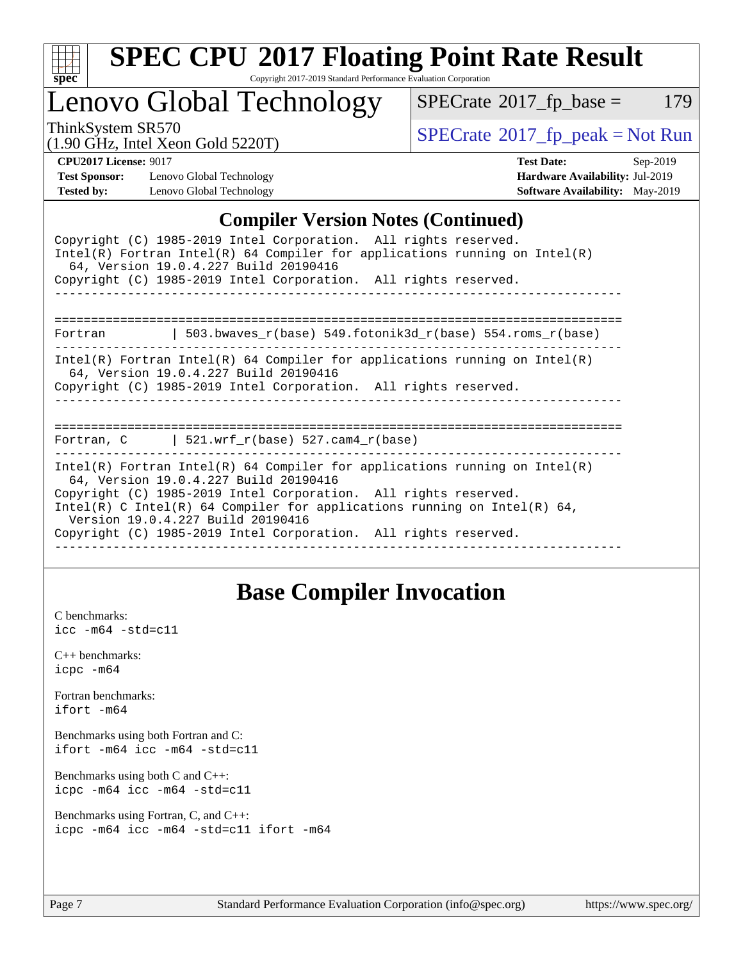

# **[SPEC CPU](http://www.spec.org/auto/cpu2017/Docs/result-fields.html#SPECCPU2017FloatingPointRateResult)[2017 Floating Point Rate Result](http://www.spec.org/auto/cpu2017/Docs/result-fields.html#SPECCPU2017FloatingPointRateResult)**

Copyright 2017-2019 Standard Performance Evaluation Corporation

Lenovo Global Technology

 $SPECTate@2017_fp\_base = 179$ 

(1.90 GHz, Intel Xeon Gold 5220T)

ThinkSystem SR570<br>(1.00 GHz, Intel Year Gold 5220T) [SPECrate](http://www.spec.org/auto/cpu2017/Docs/result-fields.html#SPECrate2017fppeak)®[2017\\_fp\\_peak = N](http://www.spec.org/auto/cpu2017/Docs/result-fields.html#SPECrate2017fppeak)ot Run

**[Test Sponsor:](http://www.spec.org/auto/cpu2017/Docs/result-fields.html#TestSponsor)** Lenovo Global Technology **[Hardware Availability:](http://www.spec.org/auto/cpu2017/Docs/result-fields.html#HardwareAvailability)** Jul-2019 **[Tested by:](http://www.spec.org/auto/cpu2017/Docs/result-fields.html#Testedby)** Lenovo Global Technology **[Software Availability:](http://www.spec.org/auto/cpu2017/Docs/result-fields.html#SoftwareAvailability)** May-2019

**[CPU2017 License:](http://www.spec.org/auto/cpu2017/Docs/result-fields.html#CPU2017License)** 9017 **[Test Date:](http://www.spec.org/auto/cpu2017/Docs/result-fields.html#TestDate)** Sep-2019

#### **[Compiler Version Notes \(Continued\)](http://www.spec.org/auto/cpu2017/Docs/result-fields.html#CompilerVersionNotes)**

| Copyright (C) 1985-2019 Intel Corporation. All rights reserved.<br>Intel(R) Fortran Intel(R) 64 Compiler for applications running on Intel(R)<br>64, Version 19.0.4.227 Build 20190416                                                                                                                                                                                       |  |  |  |  |  |  |  |
|------------------------------------------------------------------------------------------------------------------------------------------------------------------------------------------------------------------------------------------------------------------------------------------------------------------------------------------------------------------------------|--|--|--|--|--|--|--|
| Copyright (C) 1985-2019 Intel Corporation. All rights reserved.                                                                                                                                                                                                                                                                                                              |  |  |  |  |  |  |  |
| 503.bwaves_r(base) 549.fotonik3d_r(base) 554.roms_r(base)<br>Fortran                                                                                                                                                                                                                                                                                                         |  |  |  |  |  |  |  |
| Intel(R) Fortran Intel(R) 64 Compiler for applications running on Intel(R)<br>64, Version 19.0.4.227 Build 20190416<br>Copyright (C) 1985-2019 Intel Corporation. All rights reserved.                                                                                                                                                                                       |  |  |  |  |  |  |  |
| Fortran, C $\vert$ 521.wrf_r(base) 527.cam4_r(base)                                                                                                                                                                                                                                                                                                                          |  |  |  |  |  |  |  |
| $Intel(R)$ Fortran Intel(R) 64 Compiler for applications running on Intel(R)<br>64, Version 19.0.4.227 Build 20190416<br>Copyright (C) 1985-2019 Intel Corporation. All rights reserved.<br>Intel(R) C Intel(R) 64 Compiler for applications running on Intel(R) 64,<br>Version 19.0.4.227 Build 20190416<br>Copyright (C) 1985-2019 Intel Corporation. All rights reserved. |  |  |  |  |  |  |  |

### **[Base Compiler Invocation](http://www.spec.org/auto/cpu2017/Docs/result-fields.html#BaseCompilerInvocation)**

[C benchmarks](http://www.spec.org/auto/cpu2017/Docs/result-fields.html#Cbenchmarks): [icc -m64 -std=c11](http://www.spec.org/cpu2017/results/res2019q4/cpu2017-20190926-18659.flags.html#user_CCbase_intel_icc_64bit_c11_33ee0cdaae7deeeab2a9725423ba97205ce30f63b9926c2519791662299b76a0318f32ddfffdc46587804de3178b4f9328c46fa7c2b0cd779d7a61945c91cd35)

[C++ benchmarks:](http://www.spec.org/auto/cpu2017/Docs/result-fields.html#CXXbenchmarks) [icpc -m64](http://www.spec.org/cpu2017/results/res2019q4/cpu2017-20190926-18659.flags.html#user_CXXbase_intel_icpc_64bit_4ecb2543ae3f1412ef961e0650ca070fec7b7afdcd6ed48761b84423119d1bf6bdf5cad15b44d48e7256388bc77273b966e5eb805aefd121eb22e9299b2ec9d9)

[Fortran benchmarks](http://www.spec.org/auto/cpu2017/Docs/result-fields.html#Fortranbenchmarks): [ifort -m64](http://www.spec.org/cpu2017/results/res2019q4/cpu2017-20190926-18659.flags.html#user_FCbase_intel_ifort_64bit_24f2bb282fbaeffd6157abe4f878425411749daecae9a33200eee2bee2fe76f3b89351d69a8130dd5949958ce389cf37ff59a95e7a40d588e8d3a57e0c3fd751)

[Benchmarks using both Fortran and C](http://www.spec.org/auto/cpu2017/Docs/result-fields.html#BenchmarksusingbothFortranandC): [ifort -m64](http://www.spec.org/cpu2017/results/res2019q4/cpu2017-20190926-18659.flags.html#user_CC_FCbase_intel_ifort_64bit_24f2bb282fbaeffd6157abe4f878425411749daecae9a33200eee2bee2fe76f3b89351d69a8130dd5949958ce389cf37ff59a95e7a40d588e8d3a57e0c3fd751) [icc -m64 -std=c11](http://www.spec.org/cpu2017/results/res2019q4/cpu2017-20190926-18659.flags.html#user_CC_FCbase_intel_icc_64bit_c11_33ee0cdaae7deeeab2a9725423ba97205ce30f63b9926c2519791662299b76a0318f32ddfffdc46587804de3178b4f9328c46fa7c2b0cd779d7a61945c91cd35)

[Benchmarks using both C and C++](http://www.spec.org/auto/cpu2017/Docs/result-fields.html#BenchmarksusingbothCandCXX): [icpc -m64](http://www.spec.org/cpu2017/results/res2019q4/cpu2017-20190926-18659.flags.html#user_CC_CXXbase_intel_icpc_64bit_4ecb2543ae3f1412ef961e0650ca070fec7b7afdcd6ed48761b84423119d1bf6bdf5cad15b44d48e7256388bc77273b966e5eb805aefd121eb22e9299b2ec9d9) [icc -m64 -std=c11](http://www.spec.org/cpu2017/results/res2019q4/cpu2017-20190926-18659.flags.html#user_CC_CXXbase_intel_icc_64bit_c11_33ee0cdaae7deeeab2a9725423ba97205ce30f63b9926c2519791662299b76a0318f32ddfffdc46587804de3178b4f9328c46fa7c2b0cd779d7a61945c91cd35)

[Benchmarks using Fortran, C, and C++:](http://www.spec.org/auto/cpu2017/Docs/result-fields.html#BenchmarksusingFortranCandCXX) [icpc -m64](http://www.spec.org/cpu2017/results/res2019q4/cpu2017-20190926-18659.flags.html#user_CC_CXX_FCbase_intel_icpc_64bit_4ecb2543ae3f1412ef961e0650ca070fec7b7afdcd6ed48761b84423119d1bf6bdf5cad15b44d48e7256388bc77273b966e5eb805aefd121eb22e9299b2ec9d9) [icc -m64 -std=c11](http://www.spec.org/cpu2017/results/res2019q4/cpu2017-20190926-18659.flags.html#user_CC_CXX_FCbase_intel_icc_64bit_c11_33ee0cdaae7deeeab2a9725423ba97205ce30f63b9926c2519791662299b76a0318f32ddfffdc46587804de3178b4f9328c46fa7c2b0cd779d7a61945c91cd35) [ifort -m64](http://www.spec.org/cpu2017/results/res2019q4/cpu2017-20190926-18659.flags.html#user_CC_CXX_FCbase_intel_ifort_64bit_24f2bb282fbaeffd6157abe4f878425411749daecae9a33200eee2bee2fe76f3b89351d69a8130dd5949958ce389cf37ff59a95e7a40d588e8d3a57e0c3fd751)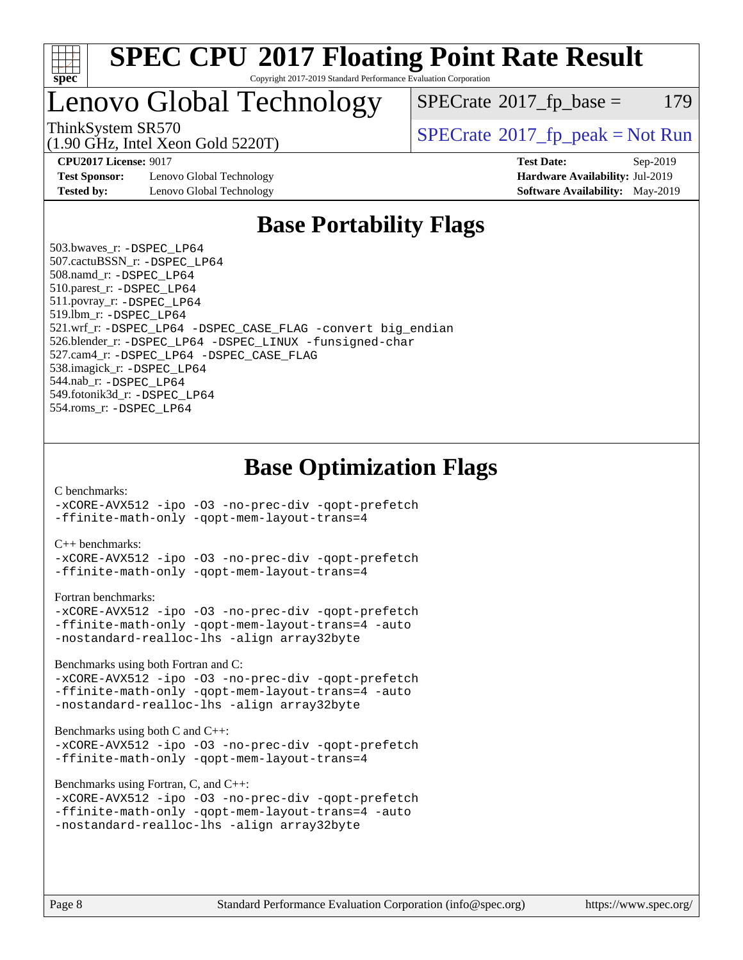

### Lenovo Global Technology

 $SPECTate@2017_fp\_base = 179$ 

(1.90 GHz, Intel Xeon Gold 5220T)

ThinkSystem SR570<br>(1.00 GHz, Intel Year Gold 5220T) [SPECrate](http://www.spec.org/auto/cpu2017/Docs/result-fields.html#SPECrate2017fppeak)®[2017\\_fp\\_peak = N](http://www.spec.org/auto/cpu2017/Docs/result-fields.html#SPECrate2017fppeak)ot Run

**[Test Sponsor:](http://www.spec.org/auto/cpu2017/Docs/result-fields.html#TestSponsor)** Lenovo Global Technology **[Hardware Availability:](http://www.spec.org/auto/cpu2017/Docs/result-fields.html#HardwareAvailability)** Jul-2019 **[Tested by:](http://www.spec.org/auto/cpu2017/Docs/result-fields.html#Testedby)** Lenovo Global Technology **[Software Availability:](http://www.spec.org/auto/cpu2017/Docs/result-fields.html#SoftwareAvailability)** May-2019

**[CPU2017 License:](http://www.spec.org/auto/cpu2017/Docs/result-fields.html#CPU2017License)** 9017 **[Test Date:](http://www.spec.org/auto/cpu2017/Docs/result-fields.html#TestDate)** Sep-2019

### **[Base Portability Flags](http://www.spec.org/auto/cpu2017/Docs/result-fields.html#BasePortabilityFlags)**

 503.bwaves\_r: [-DSPEC\\_LP64](http://www.spec.org/cpu2017/results/res2019q4/cpu2017-20190926-18659.flags.html#suite_basePORTABILITY503_bwaves_r_DSPEC_LP64) 507.cactuBSSN\_r: [-DSPEC\\_LP64](http://www.spec.org/cpu2017/results/res2019q4/cpu2017-20190926-18659.flags.html#suite_basePORTABILITY507_cactuBSSN_r_DSPEC_LP64) 508.namd\_r: [-DSPEC\\_LP64](http://www.spec.org/cpu2017/results/res2019q4/cpu2017-20190926-18659.flags.html#suite_basePORTABILITY508_namd_r_DSPEC_LP64) 510.parest\_r: [-DSPEC\\_LP64](http://www.spec.org/cpu2017/results/res2019q4/cpu2017-20190926-18659.flags.html#suite_basePORTABILITY510_parest_r_DSPEC_LP64) 511.povray\_r: [-DSPEC\\_LP64](http://www.spec.org/cpu2017/results/res2019q4/cpu2017-20190926-18659.flags.html#suite_basePORTABILITY511_povray_r_DSPEC_LP64) 519.lbm\_r: [-DSPEC\\_LP64](http://www.spec.org/cpu2017/results/res2019q4/cpu2017-20190926-18659.flags.html#suite_basePORTABILITY519_lbm_r_DSPEC_LP64) 521.wrf\_r: [-DSPEC\\_LP64](http://www.spec.org/cpu2017/results/res2019q4/cpu2017-20190926-18659.flags.html#suite_basePORTABILITY521_wrf_r_DSPEC_LP64) [-DSPEC\\_CASE\\_FLAG](http://www.spec.org/cpu2017/results/res2019q4/cpu2017-20190926-18659.flags.html#b521.wrf_r_baseCPORTABILITY_DSPEC_CASE_FLAG) [-convert big\\_endian](http://www.spec.org/cpu2017/results/res2019q4/cpu2017-20190926-18659.flags.html#user_baseFPORTABILITY521_wrf_r_convert_big_endian_c3194028bc08c63ac5d04de18c48ce6d347e4e562e8892b8bdbdc0214820426deb8554edfa529a3fb25a586e65a3d812c835984020483e7e73212c4d31a38223) 526.blender\_r: [-DSPEC\\_LP64](http://www.spec.org/cpu2017/results/res2019q4/cpu2017-20190926-18659.flags.html#suite_basePORTABILITY526_blender_r_DSPEC_LP64) [-DSPEC\\_LINUX](http://www.spec.org/cpu2017/results/res2019q4/cpu2017-20190926-18659.flags.html#b526.blender_r_baseCPORTABILITY_DSPEC_LINUX) [-funsigned-char](http://www.spec.org/cpu2017/results/res2019q4/cpu2017-20190926-18659.flags.html#user_baseCPORTABILITY526_blender_r_force_uchar_40c60f00ab013830e2dd6774aeded3ff59883ba5a1fc5fc14077f794d777847726e2a5858cbc7672e36e1b067e7e5c1d9a74f7176df07886a243d7cc18edfe67) 527.cam4\_r: [-DSPEC\\_LP64](http://www.spec.org/cpu2017/results/res2019q4/cpu2017-20190926-18659.flags.html#suite_basePORTABILITY527_cam4_r_DSPEC_LP64) [-DSPEC\\_CASE\\_FLAG](http://www.spec.org/cpu2017/results/res2019q4/cpu2017-20190926-18659.flags.html#b527.cam4_r_baseCPORTABILITY_DSPEC_CASE_FLAG) 538.imagick\_r: [-DSPEC\\_LP64](http://www.spec.org/cpu2017/results/res2019q4/cpu2017-20190926-18659.flags.html#suite_basePORTABILITY538_imagick_r_DSPEC_LP64) 544.nab\_r: [-DSPEC\\_LP64](http://www.spec.org/cpu2017/results/res2019q4/cpu2017-20190926-18659.flags.html#suite_basePORTABILITY544_nab_r_DSPEC_LP64) 549.fotonik3d\_r: [-DSPEC\\_LP64](http://www.spec.org/cpu2017/results/res2019q4/cpu2017-20190926-18659.flags.html#suite_basePORTABILITY549_fotonik3d_r_DSPEC_LP64) 554.roms\_r: [-DSPEC\\_LP64](http://www.spec.org/cpu2017/results/res2019q4/cpu2017-20190926-18659.flags.html#suite_basePORTABILITY554_roms_r_DSPEC_LP64)

### **[Base Optimization Flags](http://www.spec.org/auto/cpu2017/Docs/result-fields.html#BaseOptimizationFlags)**

#### [C benchmarks](http://www.spec.org/auto/cpu2017/Docs/result-fields.html#Cbenchmarks):

[-xCORE-AVX512](http://www.spec.org/cpu2017/results/res2019q4/cpu2017-20190926-18659.flags.html#user_CCbase_f-xCORE-AVX512) [-ipo](http://www.spec.org/cpu2017/results/res2019q4/cpu2017-20190926-18659.flags.html#user_CCbase_f-ipo) [-O3](http://www.spec.org/cpu2017/results/res2019q4/cpu2017-20190926-18659.flags.html#user_CCbase_f-O3) [-no-prec-div](http://www.spec.org/cpu2017/results/res2019q4/cpu2017-20190926-18659.flags.html#user_CCbase_f-no-prec-div) [-qopt-prefetch](http://www.spec.org/cpu2017/results/res2019q4/cpu2017-20190926-18659.flags.html#user_CCbase_f-qopt-prefetch) [-ffinite-math-only](http://www.spec.org/cpu2017/results/res2019q4/cpu2017-20190926-18659.flags.html#user_CCbase_f_finite_math_only_cb91587bd2077682c4b38af759c288ed7c732db004271a9512da14a4f8007909a5f1427ecbf1a0fb78ff2a814402c6114ac565ca162485bbcae155b5e4258871) [-qopt-mem-layout-trans=4](http://www.spec.org/cpu2017/results/res2019q4/cpu2017-20190926-18659.flags.html#user_CCbase_f-qopt-mem-layout-trans_fa39e755916c150a61361b7846f310bcdf6f04e385ef281cadf3647acec3f0ae266d1a1d22d972a7087a248fd4e6ca390a3634700869573d231a252c784941a8)

#### [C++ benchmarks:](http://www.spec.org/auto/cpu2017/Docs/result-fields.html#CXXbenchmarks)

[-xCORE-AVX512](http://www.spec.org/cpu2017/results/res2019q4/cpu2017-20190926-18659.flags.html#user_CXXbase_f-xCORE-AVX512) [-ipo](http://www.spec.org/cpu2017/results/res2019q4/cpu2017-20190926-18659.flags.html#user_CXXbase_f-ipo) [-O3](http://www.spec.org/cpu2017/results/res2019q4/cpu2017-20190926-18659.flags.html#user_CXXbase_f-O3) [-no-prec-div](http://www.spec.org/cpu2017/results/res2019q4/cpu2017-20190926-18659.flags.html#user_CXXbase_f-no-prec-div) [-qopt-prefetch](http://www.spec.org/cpu2017/results/res2019q4/cpu2017-20190926-18659.flags.html#user_CXXbase_f-qopt-prefetch) [-ffinite-math-only](http://www.spec.org/cpu2017/results/res2019q4/cpu2017-20190926-18659.flags.html#user_CXXbase_f_finite_math_only_cb91587bd2077682c4b38af759c288ed7c732db004271a9512da14a4f8007909a5f1427ecbf1a0fb78ff2a814402c6114ac565ca162485bbcae155b5e4258871) [-qopt-mem-layout-trans=4](http://www.spec.org/cpu2017/results/res2019q4/cpu2017-20190926-18659.flags.html#user_CXXbase_f-qopt-mem-layout-trans_fa39e755916c150a61361b7846f310bcdf6f04e385ef281cadf3647acec3f0ae266d1a1d22d972a7087a248fd4e6ca390a3634700869573d231a252c784941a8)

#### [Fortran benchmarks](http://www.spec.org/auto/cpu2017/Docs/result-fields.html#Fortranbenchmarks):

```
-xCORE-AVX512 -ipo -O3 -no-prec-div -qopt-prefetch
-ffinite-math-only -qopt-mem-layout-trans=4 -auto
-nostandard-realloc-lhs -align array32byte
```
[Benchmarks using both Fortran and C](http://www.spec.org/auto/cpu2017/Docs/result-fields.html#BenchmarksusingbothFortranandC):

```
-xCORE-AVX512 -ipo -O3 -no-prec-div -qopt-prefetch
-ffinite-math-only -qopt-mem-layout-trans=4 -auto
-nostandard-realloc-lhs -align array32byte
```
#### [Benchmarks using both C and C++](http://www.spec.org/auto/cpu2017/Docs/result-fields.html#BenchmarksusingbothCandCXX):

```
-xCORE-AVX512 -ipo -O3 -no-prec-div -qopt-prefetch
-ffinite-math-only -qopt-mem-layout-trans=4
```
[Benchmarks using Fortran, C, and C++:](http://www.spec.org/auto/cpu2017/Docs/result-fields.html#BenchmarksusingFortranCandCXX)

```
-xCORE-AVX512 -ipo -O3 -no-prec-div -qopt-prefetch
-ffinite-math-only -qopt-mem-layout-trans=4 -auto
-nostandard-realloc-lhs -align array32byte
```